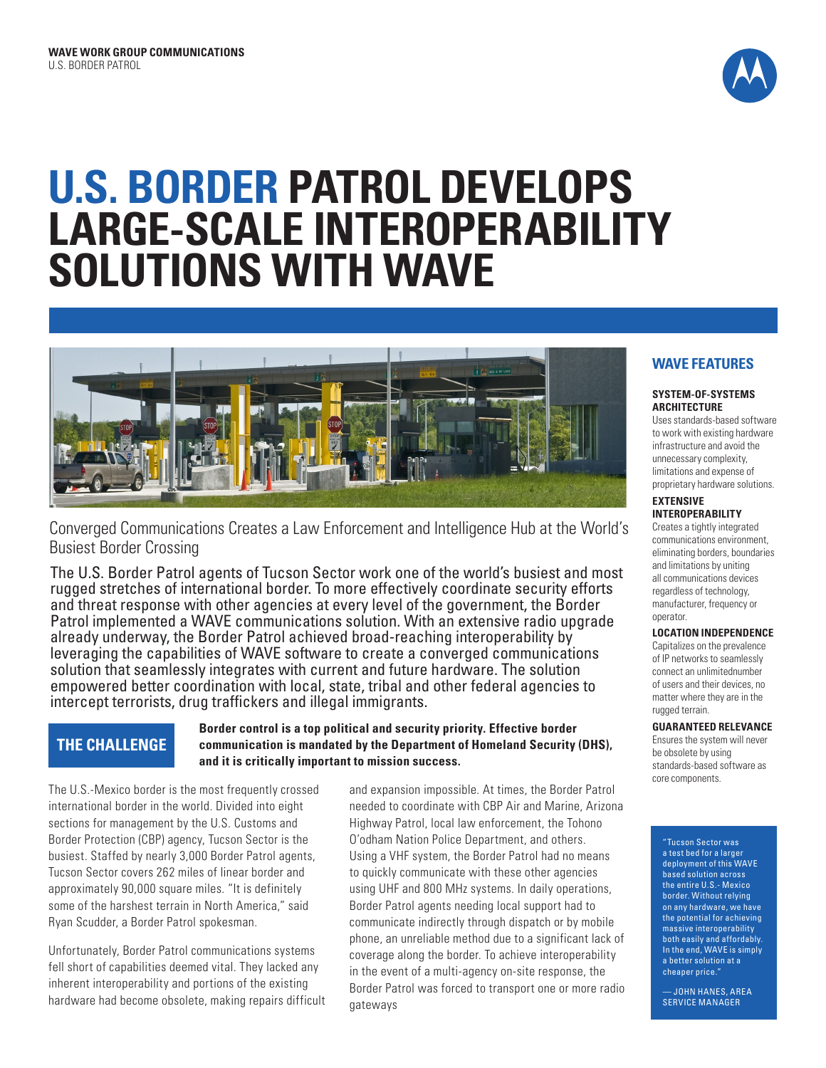

# **U.S. BORDER PATROL DEVELOPS LARGE-SCALE INTEROPERABILITY SOLUTIONS WITH WAVE**



Converged Communications Creates a Law Enforcement and Intelligence Hub at the World's Busiest Border Crossing

The U.S. Border Patrol agents of Tucson Sector work one of the world's busiest and most rugged stretches of international border. To more effectively coordinate security efforts and threat response with other agencies at every level of the government, the Border Patrol implemented a WAVE communications solution. With an extensive radio upgrade already underway, the Border Patrol achieved broad-reaching interoperability by leveraging the capabilities of WAVE software to create a converged communications solution that seamlessly integrates with current and future hardware. The solution empowered better coordination with local, state, tribal and other federal agencies to intercept terrorists, drug traffickers and illegal immigrants.

# **THE CHALLENGE**

## **Border control is a top political and security priority. Effective border communication is mandated by the Department of Homeland Security (DHS), and it is critically important to mission success.**

The U.S.-Mexico border is the most frequently crossed international border in the world. Divided into eight sections for management by the U.S. Customs and Border Protection (CBP) agency, Tucson Sector is the busiest. Staffed by nearly 3,000 Border Patrol agents, Tucson Sector covers 262 miles of linear border and approximately 90,000 square miles. "It is definitely some of the harshest terrain in North America," said Ryan Scudder, a Border Patrol spokesman.

Unfortunately, Border Patrol communications systems fell short of capabilities deemed vital. They lacked any inherent interoperability and portions of the existing hardware had become obsolete, making repairs difficult and expansion impossible. At times, the Border Patrol needed to coordinate with CBP Air and Marine, Arizona Highway Patrol, local law enforcement, the Tohono O'odham Nation Police Department, and others. Using a VHF system, the Border Patrol had no means to quickly communicate with these other agencies using UHF and 800 MHz systems. In daily operations, Border Patrol agents needing local support had to communicate indirectly through dispatch or by mobile phone, an unreliable method due to a significant lack of coverage along the border. To achieve interoperability in the event of a multi-agency on-site response, the Border Patrol was forced to transport one or more radio gateways

# **WAVE FEATURES**

### **SYSTEM-OF-SYSTEMS ARCHITECTURE**

Uses standards-based software to work with existing hardware infrastructure and avoid the unnecessary complexity, limitations and expense of proprietary hardware solutions.

## **EXTENSIVE INTEROPERABILITY**

Creates a tightly integrated communications environment, eliminating borders, boundaries and limitations by uniting all communications devices regardless of technology, manufacturer, frequency or operator.

## **LOCATION INDEPENDENCE**

Capitalizes on the prevalence of IP networks to seamlessly connect an unlimitednumber of users and their devices, no matter where they are in the rugged terrain.

## **GUARANTEED RELEVANCE**

Ensures the system will never be obsolete by using standards-based software as core components.

"Tucson Sector was a test bed for a larger deployment of this WAVE based solution across the entire U.S.- Mexico border. Without relying on any hardware, we have the potential for achieving massive interoperability both easily and affordably. In the end, WAVE is simply a better solution at a cheaper price."

— JOHN HANES, AREA SERVICE MANAGER